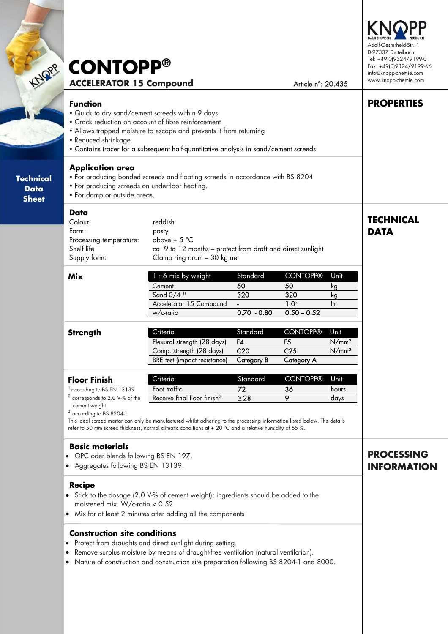# **ACCELERATOR 15 Compound** Article n°: 20.435 **CONTOPP®**

#### **Function**

**Technical**   $\mathcal{L}$ **Sheet** 

> **Technical Data Sheet**

- Quick to dry sand/cement screeds within 9 days
- Crack reduction on account of fibre reinforcement
- Allows trapped moisture to escape and prevents it from returning
- Reduced shrinkage
- Contains tracer for a subsequent half-quantitative analysis in sand/cement screeds

#### **Application area**

- For producing bonded screeds and floating screeds in accordance with BS 8204
- For producing screeds on underfloor heating.
- For damp or outside areas.

#### **Data**

| Supply form:            | Clamp ring drum - 30 kg net                                 |
|-------------------------|-------------------------------------------------------------|
| Shelf life              | ca. 9 to 12 months – protect from draft and direct sunlight |
| Processing temperature: | above + $5^{\circ}$ C                                       |
| Form:                   | pasty                                                       |
| Colour:                 | reddish                                                     |
|                         |                                                             |

| Mix | $1:6$ mix by weight      | Standard      | <b>CONTOPP®</b>        | Unit |
|-----|--------------------------|---------------|------------------------|------|
|     | Cement                   | 50            | 50                     |      |
|     | Sand $0/4$ <sup>11</sup> | 320           | 320                    | κg   |
|     | Accelerator 15 Compound  |               | $\Omega$ <sup>2)</sup> | ltr  |
|     | w/c-ratio                | $0.70 - 0.80$ | $0.50 - 0.52$          |      |
|     |                          |               |                        |      |

| Flexural strength (28 days)<br>Comp. strength (28 days) | F4<br>C <sub>20</sub> | C25        | $N/mm^2$<br>$N/mm^2$ |
|---------------------------------------------------------|-----------------------|------------|----------------------|
| BRE test (impact resistance)                            | Category B            | Category A |                      |

| <b>Floor Finish</b>                   | Criteria                                 | Standard | <b>CONTOPP®</b> | Unit  |
|---------------------------------------|------------------------------------------|----------|-----------------|-------|
| <sup>1</sup> according to BS EN 13139 | Foot traffic                             | 72       | 36              | hours |
| $^{21}$ corresponds to 2.0 V-% of the | Receive final floor finish <sup>3)</sup> | > 28     |                 | davs  |
| cement weight                         |                                          |          |                 |       |

3) according to BS 8204-1

This ideal screed mortar can only be manufactured whilst adhering to the processing information listed below. The details refer to 50 mm screed thickness, normal climatic conditions at + 20 °C and a relative humidity of 65 %.

#### **Basic materials**

- OPC oder blends following BS EN 197.
- Aggregates following BS EN 13139.

#### **Recipe**

- Stick to the dosage (2.0 V-% of cement weight); ingredients should be added to the moistened mix. W/c-ratio < 0.52
- Mix for at least 2 minutes after adding all the components

### **Construction site conditions**

- Protect from draughts and direct sunlight during setting.
- Remove surplus moisture by means of draught-free ventilation (natural ventilation).
- Nature of construction and construction site preparation following BS 8204-1 and 8000.

# **PROCESSING INFORMATION**



**PROPERTIES** 

**TECHNICAL** 

**DATA**